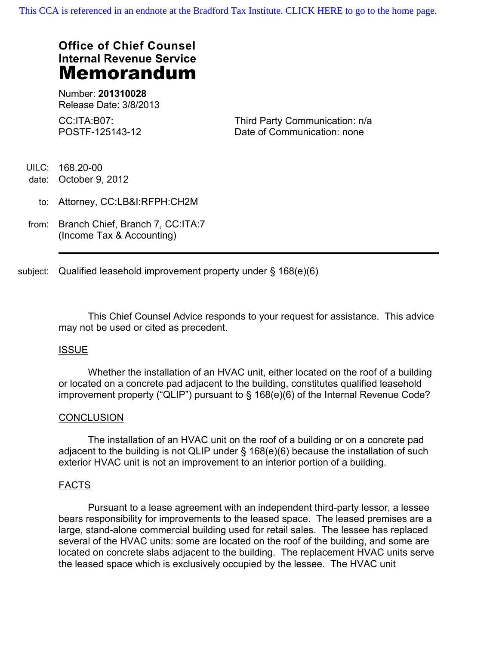# **Office of Chief Counsel Internal Revenue Service Memorandum**

Number: **201310028** Release Date: 3/8/2013

CC:ITA:B07: POSTF-125143-12 Third Party Communication: n/a Date of Communication: none

UILC: 168.20-00

date: October 9, 2012

- to: Attorney, CC:LB&I:RFPH:CH2M
- from: Branch Chief, Branch 7, CC:ITA:7 (Income Tax & Accounting)

subject: Qualified leasehold improvement property under § 168(e)(6)

This Chief Counsel Advice responds to your request for assistance. This advice may not be used or cited as precedent.

# ISSUE

Whether the installation of an HVAC unit, either located on the roof of a building or located on a concrete pad adjacent to the building, constitutes qualified leasehold improvement property ("QLIP") pursuant to § 168(e)(6) of the Internal Revenue Code?

### **CONCLUSION**

The installation of an HVAC unit on the roof of a building or on a concrete pad adjacent to the building is not QLIP under § 168(e)(6) because the installation of such exterior HVAC unit is not an improvement to an interior portion of a building.

# FACTS

Pursuant to a lease agreement with an independent third-party lessor, a lessee bears responsibility for improvements to the leased space. The leased premises are a large, stand-alone commercial building used for retail sales. The lessee has replaced several of the HVAC units: some are located on the roof of the building, and some are located on concrete slabs adjacent to the building. The replacement HVAC units serve the leased space which is exclusively occupied by the lessee. The HVAC unit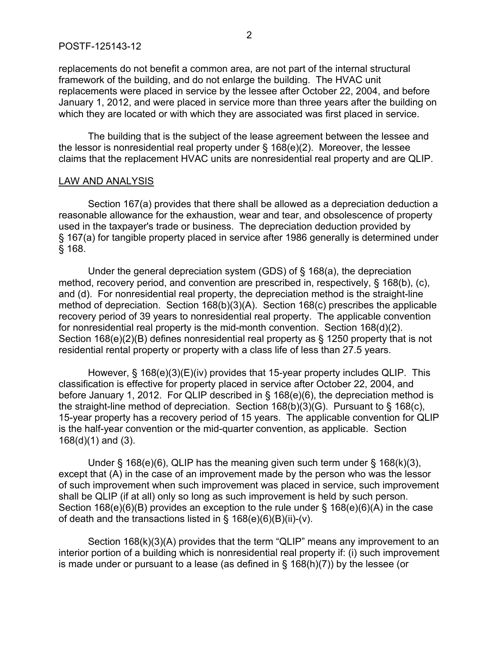replacements do not benefit a common area, are not part of the internal structural framework of the building, and do not enlarge the building. The HVAC unit replacements were placed in service by the lessee after October 22, 2004, and before January 1, 2012, and were placed in service more than three years after the building on which they are located or with which they are associated was first placed in service.

The building that is the subject of the lease agreement between the lessee and the lessor is nonresidential real property under § 168(e)(2). Moreover, the lessee claims that the replacement HVAC units are nonresidential real property and are QLIP.

#### LAW AND ANALYSIS

Section 167(a) provides that there shall be allowed as a depreciation deduction a reasonable allowance for the exhaustion, wear and tear, and obsolescence of property used in the taxpayer's trade or business. The depreciation deduction provided by § 167(a) for tangible property placed in service after 1986 generally is determined under § 168.

Under the general depreciation system (GDS) of § 168(a), the depreciation method, recovery period, and convention are prescribed in, respectively, § 168(b), (c), and (d). For nonresidential real property, the depreciation method is the straight-line method of depreciation. Section 168(b)(3)(A). Section 168(c) prescribes the applicable recovery period of 39 years to nonresidential real property. The applicable convention for nonresidential real property is the mid-month convention. Section 168(d)(2). Section 168(e)(2)(B) defines nonresidential real property as § 1250 property that is not residential rental property or property with a class life of less than 27.5 years.

However, § 168(e)(3)(E)(iv) provides that 15-year property includes QLIP. This classification is effective for property placed in service after October 22, 2004, and before January 1, 2012. For QLIP described in § 168(e)(6), the depreciation method is the straight-line method of depreciation. Section 168(b)(3)(G). Pursuant to § 168(c), 15-year property has a recovery period of 15 years. The applicable convention for QLIP is the half-year convention or the mid-quarter convention, as applicable. Section 168(d)(1) and (3).

Under  $\S$  168(e)(6), QLIP has the meaning given such term under  $\S$  168(k)(3), except that (A) in the case of an improvement made by the person who was the lessor of such improvement when such improvement was placed in service, such improvement shall be QLIP (if at all) only so long as such improvement is held by such person. Section 168(e)(6)(B) provides an exception to the rule under § 168(e)(6)(A) in the case of death and the transactions listed in  $\S$  168(e)(6)(B)(ii)-(v).

Section 168(k)(3)(A) provides that the term "QLIP" means any improvement to an interior portion of a building which is nonresidential real property if: (i) such improvement is made under or pursuant to a lease (as defined in  $\S$  168(h)(7)) by the lessee (or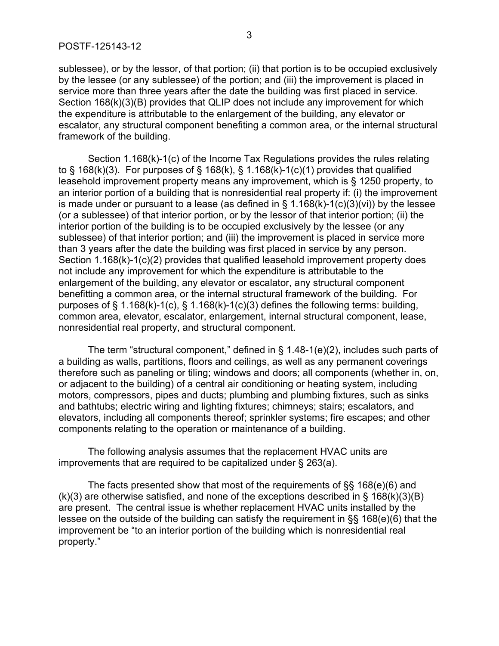sublessee), or by the lessor, of that portion; (ii) that portion is to be occupied exclusively by the lessee (or any sublessee) of the portion; and (iii) the improvement is placed in service more than three years after the date the building was first placed in service. Section 168(k)(3)(B) provides that QLIP does not include any improvement for which the expenditure is attributable to the enlargement of the building, any elevator or escalator, any structural component benefiting a common area, or the internal structural framework of the building.

Section 1.168(k)-1(c) of the Income Tax Regulations provides the rules relating to  $\S$  168(k)(3). For purposes of  $\S$  168(k),  $\S$  1.168(k)-1(c)(1) provides that qualified leasehold improvement property means any improvement, which is § 1250 property, to an interior portion of a building that is nonresidential real property if: (i) the improvement is made under or pursuant to a lease (as defined in  $\S$  1.168(k)-1(c)(3)(vi)) by the lessee (or a sublessee) of that interior portion, or by the lessor of that interior portion; (ii) the interior portion of the building is to be occupied exclusively by the lessee (or any sublessee) of that interior portion; and (iii) the improvement is placed in service more than 3 years after the date the building was first placed in service by any person. Section 1.168(k)-1(c)(2) provides that qualified leasehold improvement property does not include any improvement for which the expenditure is attributable to the enlargement of the building, any elevator or escalator, any structural component benefitting a common area, or the internal structural framework of the building. For purposes of § 1.168(k)-1(c), § 1.168(k)-1(c)(3) defines the following terms: building, common area, elevator, escalator, enlargement, internal structural component, lease, nonresidential real property, and structural component.

The term "structural component," defined in § 1.48-1(e)(2), includes such parts of a building as walls, partitions, floors and ceilings, as well as any permanent coverings therefore such as paneling or tiling; windows and doors; all components (whether in, on, or adjacent to the building) of a central air conditioning or heating system, including motors, compressors, pipes and ducts; plumbing and plumbing fixtures, such as sinks and bathtubs; electric wiring and lighting fixtures; chimneys; stairs; escalators, and elevators, including all components thereof; sprinkler systems; fire escapes; and other components relating to the operation or maintenance of a building.

The following analysis assumes that the replacement HVAC units are improvements that are required to be capitalized under § 263(a).

The facts presented show that most of the requirements of §§ 168(e)(6) and  $(k)(3)$  are otherwise satisfied, and none of the exceptions described in § 168 $(k)(3)(B)$ are present. The central issue is whether replacement HVAC units installed by the lessee on the outside of the building can satisfy the requirement in §§ 168(e)(6) that the improvement be "to an interior portion of the building which is nonresidential real property."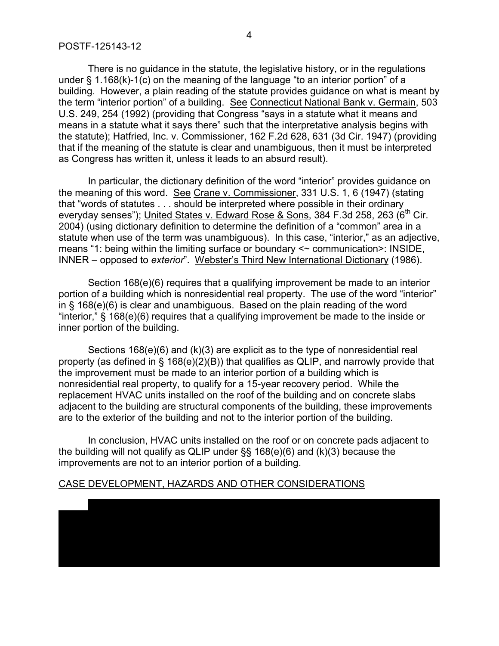There is no guidance in the statute, the legislative history, or in the regulations under § 1.168(k)-1(c) on the meaning of the language "to an interior portion" of a building. However, a plain reading of the statute provides guidance on what is meant by the term "interior portion" of a building. See Connecticut National Bank v. Germain, 503 U.S. 249, 254 (1992) (providing that Congress "says in a statute what it means and means in a statute what it says there" such that the interpretative analysis begins with the statute); Hatfried, Inc. v. Commissioner, 162 F.2d 628, 631 (3d Cir. 1947) (providing that if the meaning of the statute is clear and unambiguous, then it must be interpreted as Congress has written it, unless it leads to an absurd result).

In particular, the dictionary definition of the word "interior" provides guidance on the meaning of this word. See Crane v. Commissioner, 331 U.S. 1, 6 (1947) (stating that "words of statutes . . . should be interpreted where possible in their ordinary everyday senses"); United States v. Edward Rose & Sons, 384 F.3d 258, 263 (6<sup>th</sup> Cir. 2004) (using dictionary definition to determine the definition of a "common" area in a statute when use of the term was unambiguous). In this case, "interior," as an adjective, means "1: being within the limiting surface or boundary <~ communication>: INSIDE, INNER – opposed to *exterior*". Webster's Third New International Dictionary (1986).

Section 168(e)(6) requires that a qualifying improvement be made to an interior portion of a building which is nonresidential real property. The use of the word "interior" in § 168(e)(6) is clear and unambiguous. Based on the plain reading of the word "interior," § 168(e)(6) requires that a qualifying improvement be made to the inside or inner portion of the building.

Sections 168(e)(6) and (k)(3) are explicit as to the type of nonresidential real property (as defined in § 168(e)(2)(B)) that qualifies as QLIP, and narrowly provide that the improvement must be made to an interior portion of a building which is nonresidential real property, to qualify for a 15-year recovery period. While the replacement HVAC units installed on the roof of the building and on concrete slabs adjacent to the building are structural components of the building, these improvements are to the exterior of the building and not to the interior portion of the building.

In conclusion, HVAC units installed on the roof or on concrete pads adjacent to the building will not qualify as QLIP under §§ 168(e)(6) and (k)(3) because the improvements are not to an interior portion of a building.

### CASE DEVELOPMENT, HAZARDS AND OTHER CONSIDERATIONS